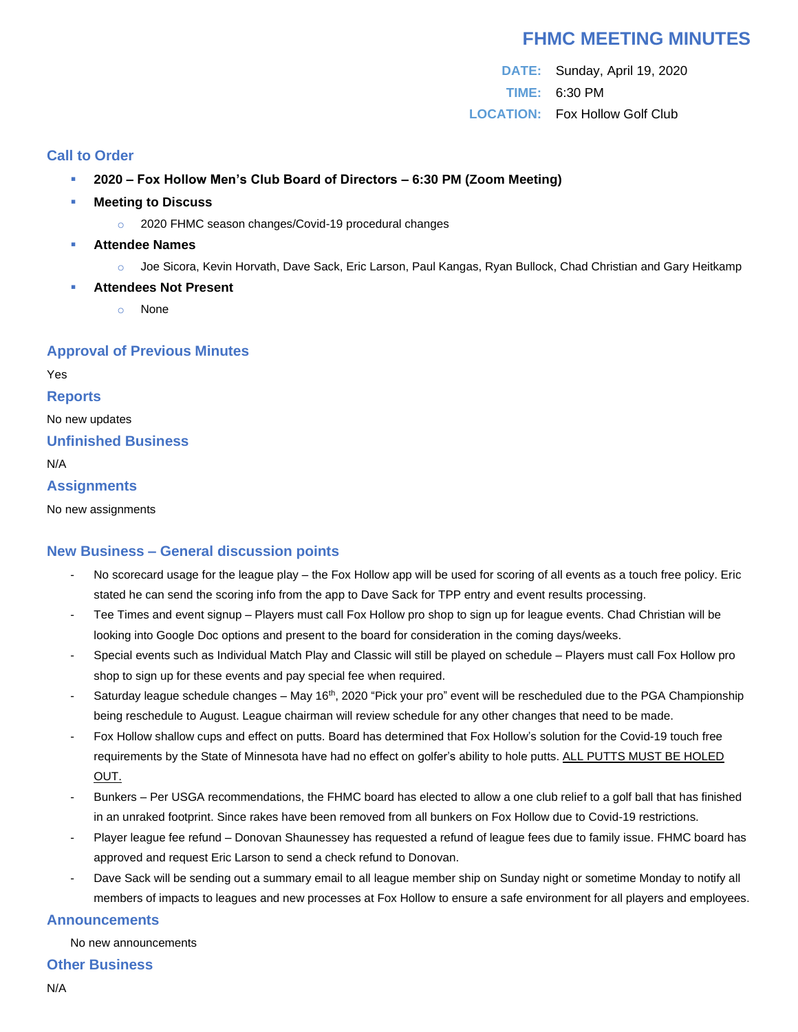# **FHMC MEETING MINUTES**

**DATE:** Sunday, April 19, 2020 **TIME:** 6:30 PM **LOCATION:** Fox Hollow Golf Club

#### **Call to Order**

- **2020 – Fox Hollow Men's Club Board of Directors – 6:30 PM (Zoom Meeting)**
- **Meeting to Discuss** 
	- o 2020 FHMC season changes/Covid-19 procedural changes
- **Attendee Names** 
	- o Joe Sicora, Kevin Horvath, Dave Sack, Eric Larson, Paul Kangas, Ryan Bullock, Chad Christian and Gary Heitkamp
- **Attendees Not Present** 
	- None

## **Approval of Previous Minutes**

Yes

#### **Reports**

No new updates

#### **Unfinished Business**

N/A

## **Assignments**

No new assignments

# **New Business – General discussion points**

- No scorecard usage for the league play the Fox Hollow app will be used for scoring of all events as a touch free policy. Eric stated he can send the scoring info from the app to Dave Sack for TPP entry and event results processing.
- Tee Times and event signup Players must call Fox Hollow pro shop to sign up for league events. Chad Christian will be looking into Google Doc options and present to the board for consideration in the coming days/weeks.
- Special events such as Individual Match Play and Classic will still be played on schedule Players must call Fox Hollow pro shop to sign up for these events and pay special fee when required.
- Saturday league schedule changes May 16<sup>th</sup>, 2020 "Pick your pro" event will be rescheduled due to the PGA Championship being reschedule to August. League chairman will review schedule for any other changes that need to be made.
- Fox Hollow shallow cups and effect on putts. Board has determined that Fox Hollow's solution for the Covid-19 touch free requirements by the State of Minnesota have had no effect on golfer's ability to hole putts. ALL PUTTS MUST BE HOLED OUT.
- Bunkers Per USGA recommendations, the FHMC board has elected to allow a one club relief to a golf ball that has finished in an unraked footprint. Since rakes have been removed from all bunkers on Fox Hollow due to Covid-19 restrictions.
- Player league fee refund Donovan Shaunessey has requested a refund of league fees due to family issue. FHMC board has approved and request Eric Larson to send a check refund to Donovan.
- Dave Sack will be sending out a summary email to all league member ship on Sunday night or sometime Monday to notify all members of impacts to leagues and new processes at Fox Hollow to ensure a safe environment for all players and employees.

#### **Announcements**

No new announcements

#### **Other Business**